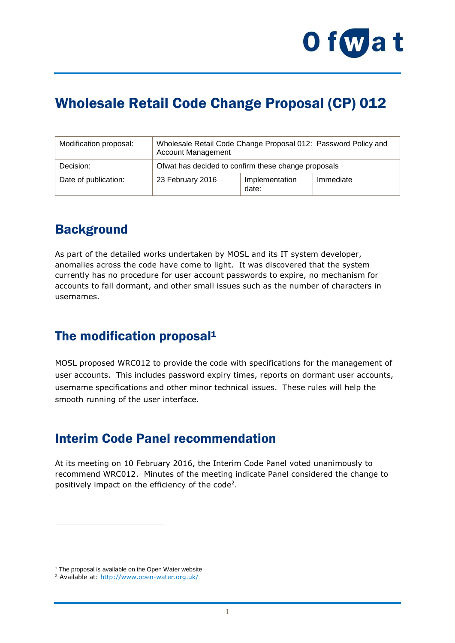

# Wholesale Retail Code Change Proposal (CP) 012

| Modification proposal: | Wholesale Retail Code Change Proposal 012: Password Policy and<br><b>Account Management</b> |                         |           |
|------------------------|---------------------------------------------------------------------------------------------|-------------------------|-----------|
| Decision:              | Ofwat has decided to confirm these change proposals                                         |                         |           |
| Date of publication:   | 23 February 2016                                                                            | Implementation<br>date: | Immediate |

### **Background**

As part of the detailed works undertaken by MOSL and its IT system developer, anomalies across the code have come to light. It was discovered that the system currently has no procedure for user account passwords to expire, no mechanism for accounts to fall dormant, and other small issues such as the number of characters in usernames.

#### The modification proposal<sup>1</sup>

MOSL proposed WRC012 to provide the code with specifications for the management of user accounts. This includes password expiry times, reports on dormant user accounts, username specifications and other minor technical issues. These rules will help the smooth running of the user interface.

#### Interim Code Panel recommendation

At its meeting on 10 February 2016, the Interim Code Panel voted unanimously to recommend WRC012. Minutes of the meeting indicate Panel considered the change to positively impact on the efficiency of the code<sup>2</sup>.

1

 $1$  The proposal is available on the Open Water website

<sup>2</sup> Available at: [http://www.open-water.org.uk/](http://www.open-water.org.uk/media/1978/icp03-01-mins-25-aug-15.docx)